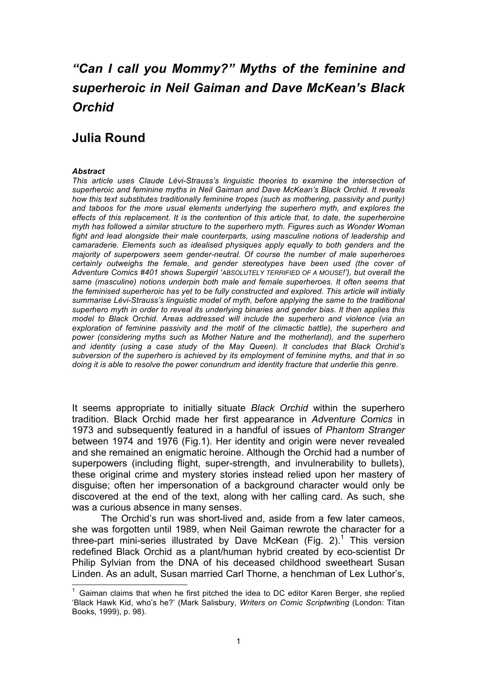# *"Can I call you Mommy?" Myths of the feminine and superheroic in Neil Gaiman and Dave McKean's Black Orchid*

## **Julia Round**

#### *Abstract*

*This article uses Claude Lévi-Strauss's linguistic theories to examine the intersection of superheroic and feminine myths in Neil Gaiman and Dave McKean's Black Orchid. It reveals how this text substitutes traditionally feminine tropes (such as mothering, passivity and purity) and taboos for the more usual elements underlying the superhero myth, and explores the effects of this replacement. It is the contention of this article that, to date, the superheroine myth has followed a similar structure to the superhero myth. Figures such as Wonder Woman fight and lead alongside their male counterparts, using masculine notions of leadership and camaraderie. Elements such as idealised physiques apply equally to both genders and the majority of superpowers seem gender-neutral. Of course the number of male superheroes certainly outweighs the female, and gender stereotypes have been used (the cover of Adventure Comics #401 shows Supergirl 'ABSOLUTELY TERRIFIED OF A MOUSE!'), but overall the same (masculine) notions underpin both male and female superheroes. It often seems that the feminised superheroic has yet to be fully constructed and explored. This article will initially summarise Lévi-Strauss's linguistic model of myth, before applying the same to the traditional superhero myth in order to reveal its underlying binaries and gender bias. It then applies this model to Black Orchid. Areas addressed will include the superhero and violence (via an exploration of feminine passivity and the motif of the climactic battle), the superhero and power (considering myths such as Mother Nature and the motherland), and the superhero and identity (using a case study of the May Queen). It concludes that Black Orchid's subversion of the superhero is achieved by its employment of feminine myths, and that in so doing it is able to resolve the power conundrum and identity fracture that underlie this genre.*

It seems appropriate to initially situate *Black Orchid* within the superhero tradition. Black Orchid made her first appearance in *Adventure Comics* in 1973 and subsequently featured in a handful of issues of *Phantom Stranger*  between 1974 and 1976 (Fig.1). Her identity and origin were never revealed and she remained an enigmatic heroine. Although the Orchid had a number of superpowers (including flight, super-strength, and invulnerability to bullets), these original crime and mystery stories instead relied upon her mastery of disguise; often her impersonation of a background character would only be discovered at the end of the text, along with her calling card. As such, she was a curious absence in many senses.

The Orchid's run was short-lived and, aside from a few later cameos, she was forgotten until 1989, when Neil Gaiman rewrote the character for a three-part mini-series illustrated by Dave McKean (Fig. 2).<sup>1</sup> This version redefined Black Orchid as a plant/human hybrid created by eco-scientist Dr Philip Sylvian from the DNA of his deceased childhood sweetheart Susan Linden. As an adult, Susan married Carl Thorne, a henchman of Lex Luthor's,

<sup>1</sup> Gaiman claims that when he first pitched the idea to DC editor Karen Berger, she replied 'Black Hawk Kid, who's he?' (Mark Salisbury, *Writers on Comic Scriptwriting* (London: Titan Books, 1999), p. 98).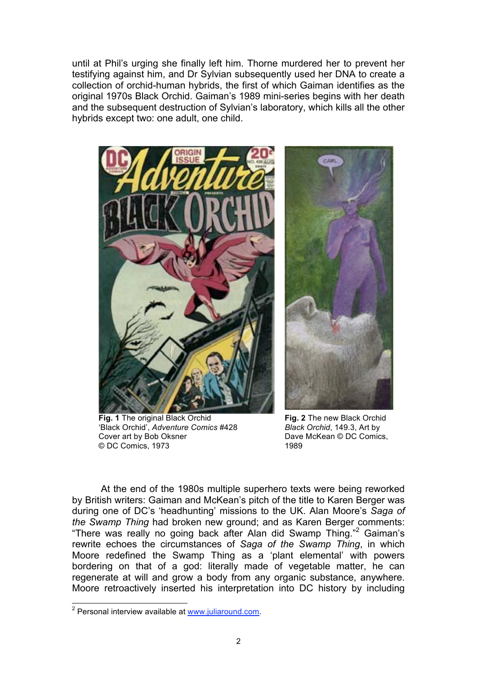until at Phil's urging she finally left him. Thorne murdered her to prevent her testifying against him, and Dr Sylvian subsequently used her DNA to create a collection of orchid-human hybrids, the first of which Gaiman identifies as the original 1970s Black Orchid. Gaiman's 1989 mini-series begins with her death and the subsequent destruction of Sylvian's laboratory, which kills all the other hybrids except two: one adult, one child.



**Fig. 1** The original Black Orchid 'Black Orchid', *Adventure Comics* #428 Cover art by Bob Oksner © DC Comics, 1973



**Fig. 2** The new Black Orchid *Black Orchid*, 149.3, Art by Dave McKean © DC Comics, 1989

At the end of the 1980s multiple superhero texts were being reworked by British writers: Gaiman and McKean's pitch of the title to Karen Berger was during one of DC's 'headhunting' missions to the UK. Alan Moore's *Saga of the Swamp Thing* had broken new ground; and as Karen Berger comments: "There was really no going back after Alan did Swamp Thing."<sup>2</sup> Gaiman's rewrite echoes the circumstances of *Saga of the Swamp Thing*, in which Moore redefined the Swamp Thing as a 'plant elemental' with powers bordering on that of a god: literally made of vegetable matter, he can regenerate at will and grow a body from any organic substance, anywhere. Moore retroactively inserted his interpretation into DC history by including

\_<br><sup>2</sup> Personal interview available at <u>www.juliaround.com</u>.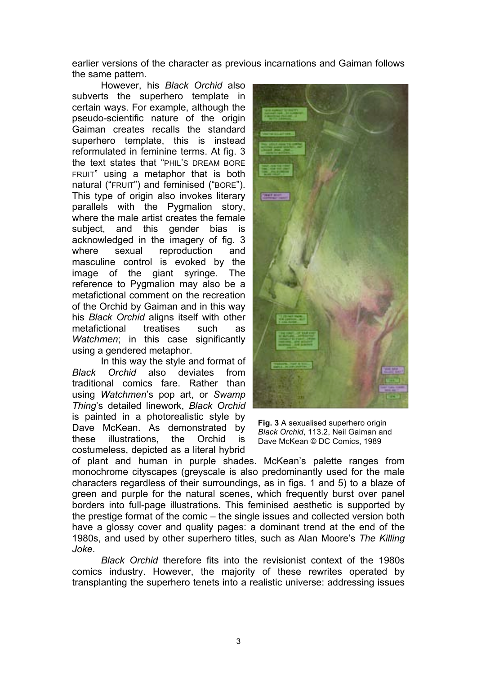earlier versions of the character as previous incarnations and Gaiman follows the same pattern.

However, his *Black Orchid* also subverts the superhero template in certain ways. For example, although the pseudo-scientific nature of the origin Gaiman creates recalls the standard superhero template, this is instead reformulated in feminine terms. At fig. 3 the text states that "PHIL'S DREAM BORE FRUIT" using a metaphor that is both natural ("FRUIT") and feminised ("BORE"). This type of origin also invokes literary parallels with the Pygmalion story, where the male artist creates the female subject, and this gender bias is acknowledged in the imagery of fig. 3 where sexual reproduction and masculine control is evoked by the image of the giant syringe. The reference to Pygmalion may also be a metafictional comment on the recreation of the Orchid by Gaiman and in this way his *Black Orchid* aligns itself with other metafictional treatises such as *Watchmen*: in this case significantly using a gendered metaphor.

In this way the style and format of *Black Orchid* also deviates from traditional comics fare. Rather than using *Watchmen*'s pop art, or *Swamp Thing*'s detailed linework, *Black Orchid*  is painted in a photorealistic style by Dave McKean. As demonstrated by these illustrations, the Orchid is costumeless, depicted as a literal hybrid



**Fig. 3** A sexualised superhero origin *Black Orchid*, 113.2, Neil Gaiman and Dave McKean © DC Comics, 1989

of plant and human in purple shades. McKean's palette ranges from monochrome cityscapes (greyscale is also predominantly used for the male characters regardless of their surroundings, as in figs. 1 and 5) to a blaze of green and purple for the natural scenes, which frequently burst over panel borders into full-page illustrations. This feminised aesthetic is supported by the prestige format of the comic – the single issues and collected version both have a glossy cover and quality pages: a dominant trend at the end of the 1980s, and used by other superhero titles, such as Alan Moore's *The Killing Joke*.

*Black Orchid* therefore fits into the revisionist context of the 1980s comics industry. However, the majority of these rewrites operated by transplanting the superhero tenets into a realistic universe: addressing issues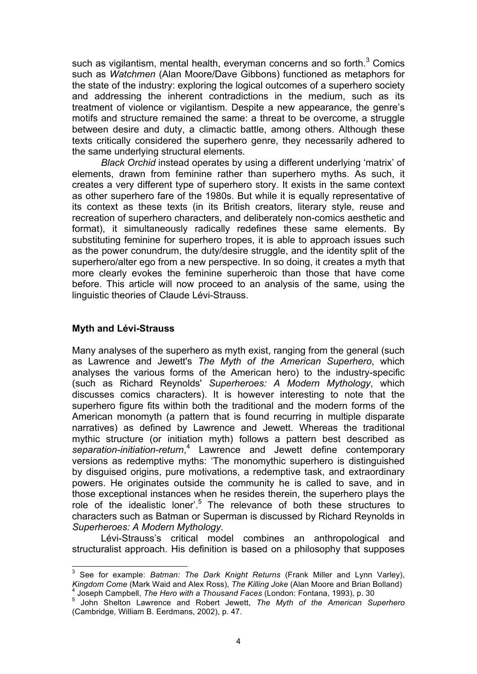such as vigilantism, mental health, everyman concerns and so forth. $3$  Comics such as *Watchmen* (Alan Moore/Dave Gibbons) functioned as metaphors for the state of the industry: exploring the logical outcomes of a superhero society and addressing the inherent contradictions in the medium, such as its treatment of violence or vigilantism. Despite a new appearance, the genre's motifs and structure remained the same: a threat to be overcome, a struggle between desire and duty, a climactic battle, among others. Although these texts critically considered the superhero genre, they necessarily adhered to the same underlying structural elements*.* 

*Black Orchid* instead operates by using a different underlying 'matrix' of elements, drawn from feminine rather than superhero myths. As such, it creates a very different type of superhero story. It exists in the same context as other superhero fare of the 1980s. But while it is equally representative of its context as these texts (in its British creators, literary style, reuse and recreation of superhero characters, and deliberately non-comics aesthetic and format), it simultaneously radically redefines these same elements. By substituting feminine for superhero tropes, it is able to approach issues such as the power conundrum, the duty/desire struggle, and the identity split of the superhero/alter ego from a new perspective. In so doing, it creates a myth that more clearly evokes the feminine superheroic than those that have come before. This article will now proceed to an analysis of the same, using the linguistic theories of Claude Lévi-Strauss.

#### **Myth and Lévi-Strauss**

Many analyses of the superhero as myth exist, ranging from the general (such as Lawrence and Jewett's *The Myth of the American Superhero*, which analyses the various forms of the American hero) to the industry-specific (such as Richard Reynolds' *Superheroes: A Modern Mythology*, which discusses comics characters). It is however interesting to note that the superhero figure fits within both the traditional and the modern forms of the American monomyth (a pattern that is found recurring in multiple disparate narratives) as defined by Lawrence and Jewett. Whereas the traditional mythic structure (or initiation myth) follows a pattern best described as *separation-initiation-return*, 4 Lawrence and Jewett define contemporary versions as redemptive myths: 'The monomythic superhero is distinguished by disguised origins, pure motivations, a redemptive task, and extraordinary powers. He originates outside the community he is called to save, and in those exceptional instances when he resides therein, the superhero plays the role of the idealistic loner'.<sup>5</sup> The relevance of both these structures to characters such as Batman or Superman is discussed by Richard Reynolds in *Superheroes: A Modern Mythology*.

Lévi-Strauss's critical model combines an anthropological and structuralist approach. His definition is based on a philosophy that supposes

3 See for example: *Batman: The Dark Knight Returns* (Frank Miller and Lynn Varley), *Kingdom Come* (Mark Waid and Alex Ross), *The Killing Joke* (Alan Moore and Brian Bolland)<br>4 Joseph Campbell, *The Hero with a Thousand Faces* (London: Fontana, 1993), p. 30

<sup>&</sup>lt;sup>4</sup> Joseph Campbell, *The Hero with a Thousand Faces* (London: Fontana, 1993), p. 30<br><sup>5</sup> John Shelton Lawrence and Robert Jewett, *The Myth of the American Superhero* (Cambridge, William B. Eerdmans, 2002), p. 47.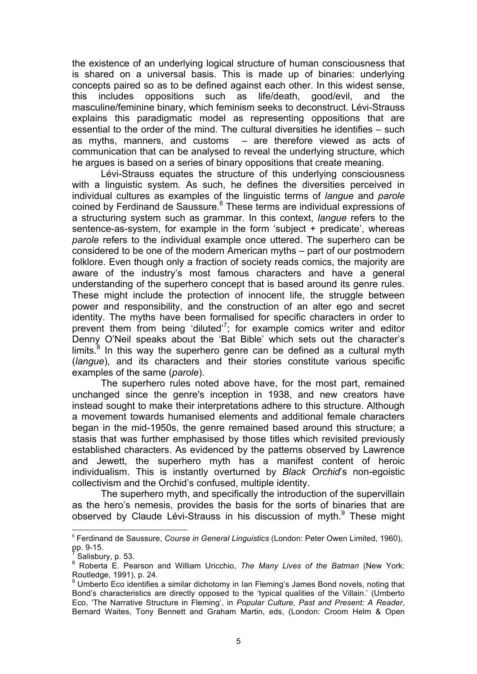the existence of an underlying logical structure of human consciousness that is shared on a universal basis. This is made up of binaries: underlying concepts paired so as to be defined against each other. In this widest sense, this includes oppositions such as life/death, good/evil, and the masculine/feminine binary, which feminism seeks to deconstruct. Lévi-Strauss explains this paradigmatic model as representing oppositions that are essential to the order of the mind. The cultural diversities he identifies – such as myths, manners, and customs – are therefore viewed as acts of communication that can be analysed to reveal the underlying structure, which he argues is based on a series of binary oppositions that create meaning.

Lévi-Strauss equates the structure of this underlying consciousness with a linguistic system. As such, he defines the diversities perceived in individual cultures as examples of the linguistic terms of *langue* and *parole* coined by Ferdinand de Saussure.<sup>6</sup> These terms are individual expressions of a structuring system such as grammar. In this context, *langue* refers to the sentence-as-system, for example in the form 'subject + predicate', whereas *parole* refers to the individual example once uttered. The superhero can be considered to be one of the modern American myths – part of our postmodern folklore. Even though only a fraction of society reads comics, the majority are aware of the industry's most famous characters and have a general understanding of the superhero concept that is based around its genre rules. These might include the protection of innocent life, the struggle between power and responsibility, and the construction of an alter ego and secret identity. The myths have been formalised for specific characters in order to prevent them from being 'diluted'<sup>7</sup>; for example comics writer and editor Denny O'Neil speaks about the 'Bat Bible' which sets out the character's limits. $8$  In this way the superhero genre can be defined as a cultural myth (*langue*), and its characters and their stories constitute various specific examples of the same (*parole*).

The superhero rules noted above have, for the most part, remained unchanged since the genre's inception in 1938, and new creators have instead sought to make their interpretations adhere to this structure. Although a movement towards humanised elements and additional female characters began in the mid-1950s, the genre remained based around this structure; a stasis that was further emphasised by those titles which revisited previously established characters. As evidenced by the patterns observed by Lawrence and Jewett, the superhero myth has a manifest content of heroic individualism. This is instantly overturned by *Black Orchid*'s non-egoistic collectivism and the Orchid's confused, multiple identity.

The superhero myth, and specifically the introduction of the supervillain as the hero's nemesis, provides the basis for the sorts of binaries that are observed by Claude Lévi-Strauss in his discussion of myth.<sup>9</sup> These might

 <sup>6</sup> Ferdinand de Saussure, *Course in General Linguistics* (London: Peter Owen Limited, 1960), pp. 9-15.

<sup>7</sup> Salisbury, p. 53.

<sup>8</sup> Roberta E. Pearson and William Uricchio, *The Many Lives of the Batman* (New York: Routledge, 1991), p. 24.

<sup>&</sup>lt;sup>9</sup> Umberto Eco identifies a similar dichotomy in Ian Fleming's James Bond novels, noting that Bond's characteristics are directly opposed to the 'typical qualities of the Villain.' (Umberto Eco, 'The Narrative Structure in Fleming', in *Popular Culture, Past and Present: A Reader*, Bernard Waites, Tony Bennett and Graham Martin, eds, (London: Croom Helm & Open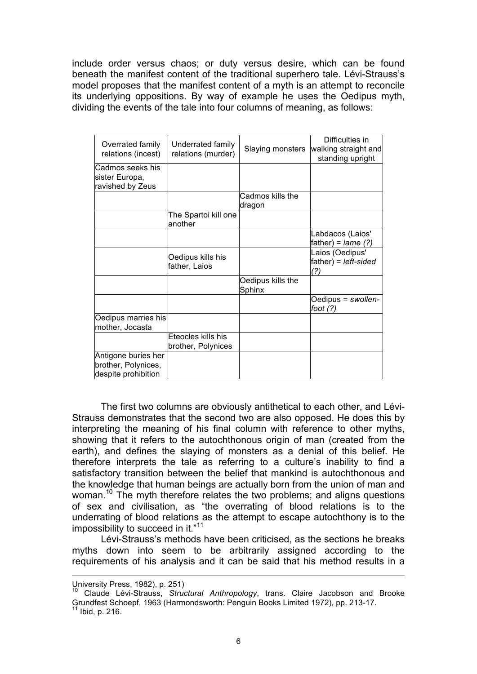include order versus chaos; or duty versus desire, which can be found beneath the manifest content of the traditional superhero tale. Lévi-Strauss's model proposes that the manifest content of a myth is an attempt to reconcile its underlying oppositions. By way of example he uses the Oedipus myth, dividing the events of the tale into four columns of meaning, as follows:

|                     |                      |                   | Difficulties in            |
|---------------------|----------------------|-------------------|----------------------------|
| Overrated family    | Underrated family    |                   |                            |
| relations (incest)  | relations (murder)   | Slaying monsters  | walking straight and       |
|                     |                      |                   | standing upright           |
| Cadmos seeks his    |                      |                   |                            |
| sister Europa,      |                      |                   |                            |
| ravished by Zeus    |                      |                   |                            |
|                     |                      | Cadmos kills the  |                            |
|                     |                      | dragon            |                            |
|                     | The Spartoi kill one |                   |                            |
|                     | another              |                   |                            |
|                     |                      |                   | Labdacos (Laios'           |
|                     |                      |                   | father) = $\text{lame}(?)$ |
|                     |                      |                   | Laios (Oedipus'            |
|                     | Oedipus kills his    |                   | father) = left-sided       |
|                     | father, Laios        |                   | (?)                        |
|                     |                      | Oedipus kills the |                            |
|                     |                      | Sphinx            |                            |
|                     |                      |                   | Oedipus = swollen-         |
|                     |                      |                   | foot $(?)$                 |
| Oedipus marries his |                      |                   |                            |
| mother, Jocasta     |                      |                   |                            |
|                     | Eteocles kills his   |                   |                            |
|                     | brother, Polynices   |                   |                            |
| Antigone buries her |                      |                   |                            |
| brother, Polynices, |                      |                   |                            |
| despite prohibition |                      |                   |                            |

The first two columns are obviously antithetical to each other, and Lévi-Strauss demonstrates that the second two are also opposed. He does this by interpreting the meaning of his final column with reference to other myths, showing that it refers to the autochthonous origin of man (created from the earth), and defines the slaying of monsters as a denial of this belief. He therefore interprets the tale as referring to a culture's inability to find a satisfactory transition between the belief that mankind is autochthonous and the knowledge that human beings are actually born from the union of man and woman.<sup>10</sup> The myth therefore relates the two problems; and aligns questions of sex and civilisation, as "the overrating of blood relations is to the underrating of blood relations as the attempt to escape autochthony is to the impossibility to succeed in it."<sup>11</sup>

Lévi-Strauss's methods have been criticised, as the sections he breaks myths down into seem to be arbitrarily assigned according to the requirements of his analysis and it can be said that his method results in a

-

University Press, 1982), p. 251)

<sup>10</sup> Claude Lévi-Strauss, *Structural Anthropology*, trans. Claire Jacobson and Brooke Grundfest Schoepf, 1963 (Harmondsworth: Penguin Books Limited 1972), pp. 213-17.  $^{\rm 1}$  Ibid, p. 216.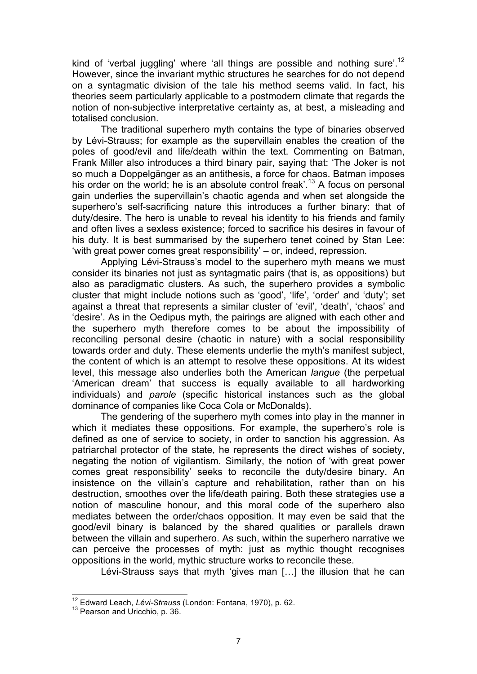kind of 'verbal juggling' where 'all things are possible and nothing sure'.<sup>12</sup> However, since the invariant mythic structures he searches for do not depend on a syntagmatic division of the tale his method seems valid. In fact, his theories seem particularly applicable to a postmodern climate that regards the notion of non-subjective interpretative certainty as, at best, a misleading and totalised conclusion.

The traditional superhero myth contains the type of binaries observed by Lévi-Strauss; for example as the supervillain enables the creation of the poles of good/evil and life/death within the text. Commenting on Batman, Frank Miller also introduces a third binary pair, saying that: 'The Joker is not so much a Doppelgänger as an antithesis, a force for chaos. Batman imposes his order on the world; he is an absolute control freak'.<sup>13</sup> A focus on personal gain underlies the supervillain's chaotic agenda and when set alongside the superhero's self-sacrificing nature this introduces a further binary: that of duty/desire. The hero is unable to reveal his identity to his friends and family and often lives a sexless existence; forced to sacrifice his desires in favour of his duty. It is best summarised by the superhero tenet coined by Stan Lee: 'with great power comes great responsibility' – or, indeed, repression.

Applying Lévi-Strauss's model to the superhero myth means we must consider its binaries not just as syntagmatic pairs (that is, as oppositions) but also as paradigmatic clusters. As such, the superhero provides a symbolic cluster that might include notions such as 'good', 'life', 'order' and 'duty'; set against a threat that represents a similar cluster of 'evil', 'death', 'chaos' and 'desire'. As in the Oedipus myth, the pairings are aligned with each other and the superhero myth therefore comes to be about the impossibility of reconciling personal desire (chaotic in nature) with a social responsibility towards order and duty. These elements underlie the myth's manifest subject, the content of which is an attempt to resolve these oppositions. At its widest level, this message also underlies both the American *langue* (the perpetual 'American dream' that success is equally available to all hardworking individuals) and *parole* (specific historical instances such as the global dominance of companies like Coca Cola or McDonalds).

The gendering of the superhero myth comes into play in the manner in which it mediates these oppositions. For example, the superhero's role is defined as one of service to society, in order to sanction his aggression. As patriarchal protector of the state, he represents the direct wishes of society, negating the notion of vigilantism. Similarly, the notion of 'with great power comes great responsibility' seeks to reconcile the duty/desire binary. An insistence on the villain's capture and rehabilitation, rather than on his destruction, smoothes over the life/death pairing. Both these strategies use a notion of masculine honour, and this moral code of the superhero also mediates between the order/chaos opposition. It may even be said that the good/evil binary is balanced by the shared qualities or parallels drawn between the villain and superhero. As such, within the superhero narrative we can perceive the processes of myth: just as mythic thought recognises oppositions in the world, mythic structure works to reconcile these.

Lévi-Strauss says that myth 'gives man […] the illusion that he can

<sup>&</sup>lt;sup>12</sup> Edward Leach, *Lévi-Strauss* (London: Fontana, 1970), p. 62.<br><sup>13</sup> Pearson and Uricchio, p. 36.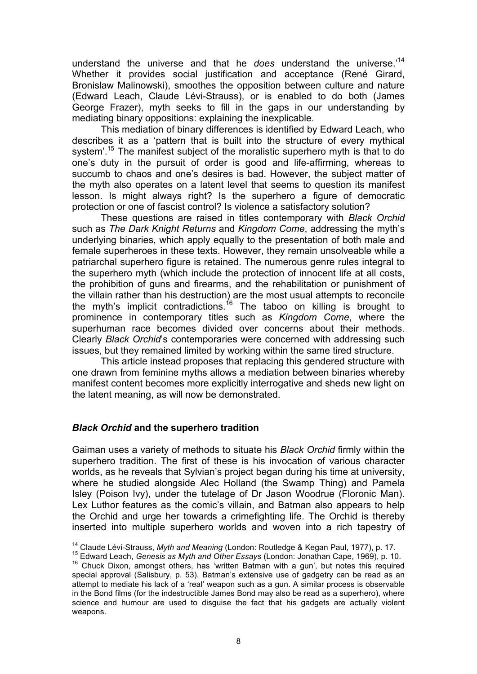understand the universe and that he *does* understand the universe.'14 Whether it provides social justification and acceptance (René Girard, Bronislaw Malinowski), smoothes the opposition between culture and nature (Edward Leach, Claude Lévi-Strauss), or is enabled to do both (James George Frazer), myth seeks to fill in the gaps in our understanding by mediating binary oppositions: explaining the inexplicable.

This mediation of binary differences is identified by Edward Leach, who describes it as a 'pattern that is built into the structure of every mythical system'.<sup>15</sup> The manifest subject of the moralistic superhero myth is that to do one's duty in the pursuit of order is good and life-affirming, whereas to succumb to chaos and one's desires is bad. However, the subject matter of the myth also operates on a latent level that seems to question its manifest lesson. Is might always right? Is the superhero a figure of democratic protection or one of fascist control? Is violence a satisfactory solution?

These questions are raised in titles contemporary with *Black Orchid*  such as *The Dark Knight Returns* and *Kingdom Come*, addressing the myth's underlying binaries, which apply equally to the presentation of both male and female superheroes in these texts. However, they remain unsolveable while a patriarchal superhero figure is retained. The numerous genre rules integral to the superhero myth (which include the protection of innocent life at all costs, the prohibition of guns and firearms, and the rehabilitation or punishment of the villain rather than his destruction) are the most usual attempts to reconcile the myth's implicit contradictions.<sup>16</sup> The taboo on killing is brought to prominence in contemporary titles such as *Kingdom Come*, where the superhuman race becomes divided over concerns about their methods. Clearly *Black Orchid*'s contemporaries were concerned with addressing such issues, but they remained limited by working within the same tired structure.

This article instead proposes that replacing this gendered structure with one drawn from feminine myths allows a mediation between binaries whereby manifest content becomes more explicitly interrogative and sheds new light on the latent meaning, as will now be demonstrated.

#### *Black Orchid* **and the superhero tradition**

Gaiman uses a variety of methods to situate his *Black Orchid* firmly within the superhero tradition. The first of these is his invocation of various character worlds, as he reveals that Sylvian's project began during his time at university, where he studied alongside Alec Holland (the Swamp Thing) and Pamela Isley (Poison Ivy), under the tutelage of Dr Jason Woodrue (Floronic Man). Lex Luthor features as the comic's villain, and Batman also appears to help the Orchid and urge her towards a crimefighting life. The Orchid is thereby inserted into multiple superhero worlds and woven into a rich tapestry of

<sup>&</sup>lt;sup>14</sup> Claude Lévi-Strauss, *Myth and Meaning* (London: Routledge & Kegan Paul, 1977), p. 17.<br><sup>15</sup> Edward Leach, *Genesis as Myth and Other Essays* (London: Jonathan Cape, 1969), p. 10.<br><sup>16</sup> Chuck Dixon, amongst others, has special approval (Salisbury, p. 53). Batman's extensive use of gadgetry can be read as an attempt to mediate his lack of a 'real' weapon such as a gun. A similar process is observable in the Bond films (for the indestructible James Bond may also be read as a superhero), where science and humour are used to disguise the fact that his gadgets are actually violent weapons.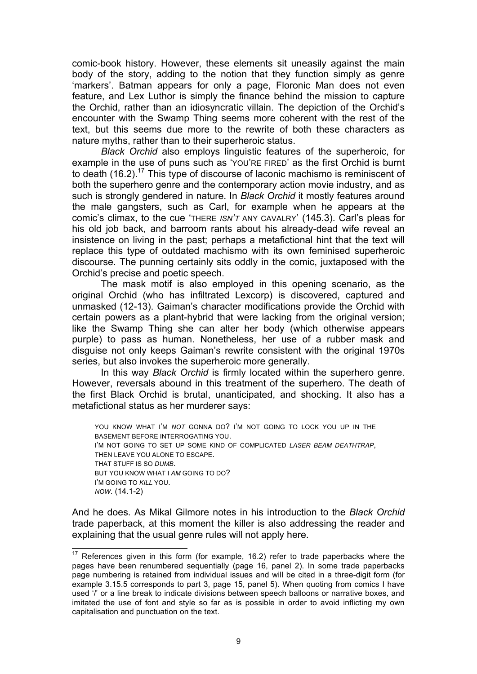comic-book history. However, these elements sit uneasily against the main body of the story, adding to the notion that they function simply as genre 'markers'. Batman appears for only a page, Floronic Man does not even feature, and Lex Luthor is simply the finance behind the mission to capture the Orchid, rather than an idiosyncratic villain. The depiction of the Orchid's encounter with the Swamp Thing seems more coherent with the rest of the text, but this seems due more to the rewrite of both these characters as nature myths, rather than to their superheroic status.

*Black Orchid* also employs linguistic features of the superheroic, for example in the use of puns such as 'YOU'RE FIRED' as the first Orchid is burnt to death (16.2).<sup>17</sup> This type of discourse of laconic machismo is reminiscent of both the superhero genre and the contemporary action movie industry, and as such is strongly gendered in nature. In *Black Orchid* it mostly features around the male gangsters, such as Carl, for example when he appears at the comic's climax, to the cue 'THERE *ISN'T* ANY CAVALRY' (145.3). Carl's pleas for his old job back, and barroom rants about his already-dead wife reveal an insistence on living in the past; perhaps a metafictional hint that the text will replace this type of outdated machismo with its own feminised superheroic discourse. The punning certainly sits oddly in the comic, juxtaposed with the Orchid's precise and poetic speech.

The mask motif is also employed in this opening scenario, as the original Orchid (who has infiltrated Lexcorp) is discovered, captured and unmasked (12-13). Gaiman's character modifications provide the Orchid with certain powers as a plant-hybrid that were lacking from the original version; like the Swamp Thing she can alter her body (which otherwise appears purple) to pass as human. Nonetheless, her use of a rubber mask and disguise not only keeps Gaiman's rewrite consistent with the original 1970s series, but also invokes the superheroic more generally.

In this way *Black Orchid* is firmly located within the superhero genre. However, reversals abound in this treatment of the superhero. The death of the first Black Orchid is brutal, unanticipated, and shocking. It also has a metafictional status as her murderer says:

YOU KNOW WHAT I'M *NOT* GONNA DO? I'M NOT GOING TO LOCK YOU UP IN THE BASEMENT BEFORE INTERROGATING YOU. I'M NOT GOING TO SET UP SOME KIND OF COMPLICATED *LASER BEAM DEATHTRAP*, THEN LEAVE YOU ALONE TO ESCAPE. THAT STUFF IS SO *DUMB*. BUT YOU KNOW WHAT I AM GOING TO DO? I'M GOING TO *KILL* YOU. *NOW*. (14.1-2)

And he does. As Mikal Gilmore notes in his introduction to the *Black Orchid*  trade paperback, at this moment the killer is also addressing the reader and explaining that the usual genre rules will not apply here.

 $17$  References given in this form (for example, 16.2) refer to trade paperbacks where the pages have been renumbered sequentially (page 16, panel 2). In some trade paperbacks page numbering is retained from individual issues and will be cited in a three-digit form (for example 3.15.5 corresponds to part 3, page 15, panel 5). When quoting from comics I have used '/' or a line break to indicate divisions between speech balloons or narrative boxes, and imitated the use of font and style so far as is possible in order to avoid inflicting my own capitalisation and punctuation on the text.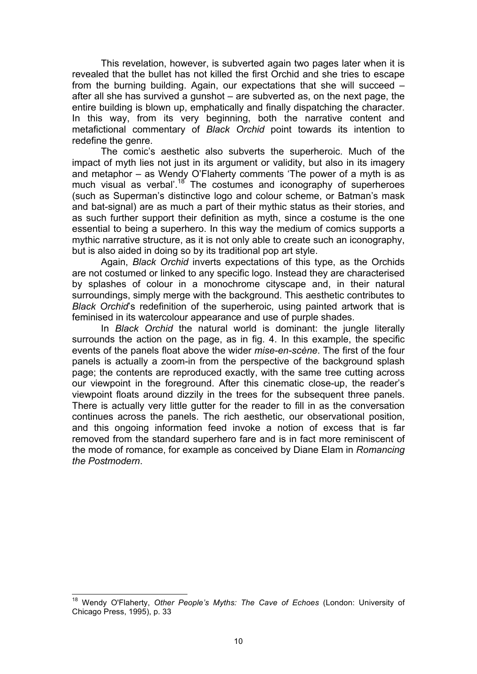This revelation, however, is subverted again two pages later when it is revealed that the bullet has not killed the first Orchid and she tries to escape from the burning building. Again, our expectations that she will succeed – after all she has survived a gunshot – are subverted as, on the next page, the entire building is blown up, emphatically and finally dispatching the character. In this way, from its very beginning, both the narrative content and metafictional commentary of *Black Orchid* point towards its intention to redefine the genre.

The comic's aesthetic also subverts the superheroic. Much of the impact of myth lies not just in its argument or validity, but also in its imagery and metaphor – as Wendy O'Flaherty comments 'The power of a myth is as much visual as verbal'.<sup>18</sup> The costumes and iconography of superheroes (such as Superman's distinctive logo and colour scheme, or Batman's mask and bat-signal) are as much a part of their mythic status as their stories, and as such further support their definition as myth, since a costume is the one essential to being a superhero. In this way the medium of comics supports a mythic narrative structure, as it is not only able to create such an iconography, but is also aided in doing so by its traditional pop art style.

Again, *Black Orchid* inverts expectations of this type, as the Orchids are not costumed or linked to any specific logo. Instead they are characterised by splashes of colour in a monochrome cityscape and, in their natural surroundings, simply merge with the background. This aesthetic contributes to *Black Orchid*'s redefinition of the superheroic, using painted artwork that is feminised in its watercolour appearance and use of purple shades.

In *Black Orchid* the natural world is dominant: the jungle literally surrounds the action on the page, as in fig. 4. In this example, the specific events of the panels float above the wider *mise-en-scène*. The first of the four panels is actually a zoom-in from the perspective of the background splash page; the contents are reproduced exactly, with the same tree cutting across our viewpoint in the foreground. After this cinematic close-up, the reader's viewpoint floats around dizzily in the trees for the subsequent three panels. There is actually very little gutter for the reader to fill in as the conversation continues across the panels. The rich aesthetic, our observational position, and this ongoing information feed invoke a notion of excess that is far removed from the standard superhero fare and is in fact more reminiscent of the mode of romance, for example as conceived by Diane Elam in *Romancing the Postmodern*.

18 Wendy O'Flaherty, *Other People's Myths: The Cave of Echoes* (London: University of Chicago Press, 1995), p. 33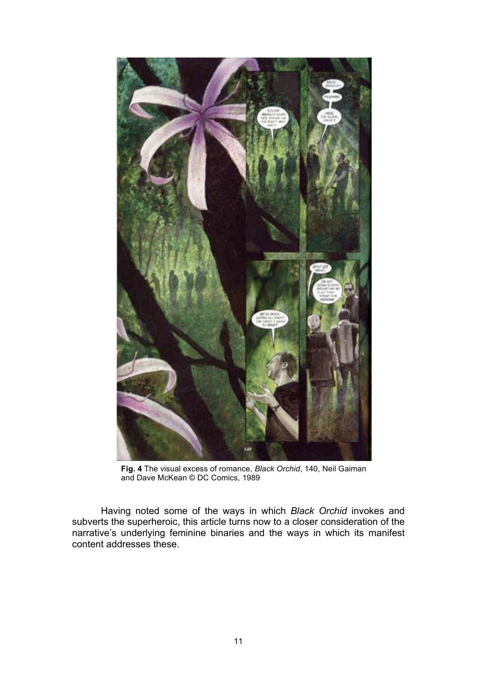

**Fig. 4** The visual excess of romance, *Black Orchid*, 140, Neil Gaiman and Dave McKean © DC Comics, 1989

Having noted some of the ways in which *Black Orchid* invokes and subverts the superheroic, this article turns now to a closer consideration of the narrative's underlying feminine binaries and the ways in which its manifest content addresses these.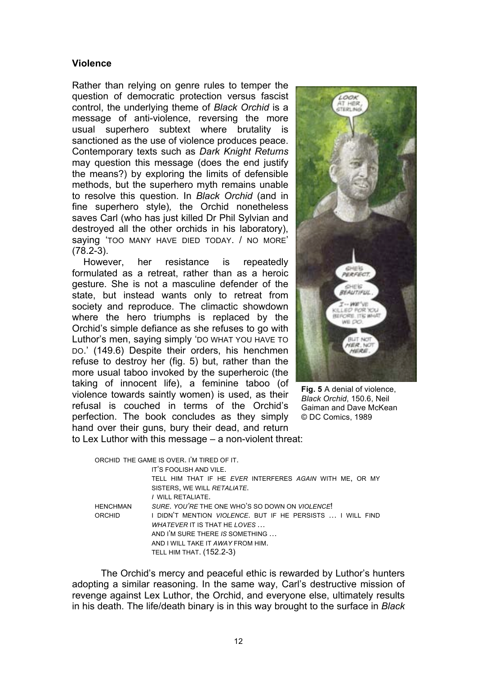#### **Violence**

Rather than relying on genre rules to temper the question of democratic protection versus fascist control, the underlying theme of *Black Orchid* is a message of anti-violence, reversing the more usual superhero subtext where brutality is sanctioned as the use of violence produces peace. Contemporary texts such as *Dark Knight Returns*  may question this message (does the end justify the means?) by exploring the limits of defensible methods, but the superhero myth remains unable to resolve this question. In *Black Orchid* (and in fine superhero style)*,* the Orchid nonetheless saves Carl (who has just killed Dr Phil Sylvian and destroyed all the other orchids in his laboratory), saying 'TOO MANY HAVE DIED TODAY. / NO MORE' (78.2-3).

However, her resistance is repeatedly formulated as a retreat, rather than as a heroic gesture. She is not a masculine defender of the state, but instead wants only to retreat from society and reproduce. The climactic showdown where the hero triumphs is replaced by the Orchid's simple defiance as she refuses to go with Luthor's men, saying simply 'DO WHAT YOU HAVE TO DO.' (149.6) Despite their orders, his henchmen refuse to destroy her (fig. 5) but, rather than the more usual taboo invoked by the superheroic (the taking of innocent life), a feminine taboo (of violence towards saintly women) is used, as their refusal is couched in terms of the Orchid's perfection. The book concludes as they simply hand over their guns, bury their dead, and return



**Fig. 5** A denial of violence, *Black Orchid*, 150.6, Neil Gaiman and Dave McKean © DC Comics, 1989

to Lex Luthor with this message – a non-violent threat:

|                 | ORCHID THE GAME IS OVER. I'M TIRED OF IT.                          |
|-----------------|--------------------------------------------------------------------|
|                 | IT'S FOOLISH AND VILE.                                             |
|                 | TELL HIM THAT IF HE EVER INTERFERES AGAIN WITH ME, OR MY           |
|                 | SISTERS, WE WILL RETALIATE.                                        |
|                 | / WILL RETALIATE.                                                  |
| <b>HENCHMAN</b> | SURE, YOU'RE THE ONE WHO'S SO DOWN ON VIOLENCE!                    |
| ORCHID          | I DIDN'T MENTION <i>VIOLENCE</i> . BUT IF HE PERSISTS  I WILL FIND |
|                 | WHATEVER IT IS THAT HE LOVES                                       |
|                 | AND I'M SURE THERE IS SOMETHING                                    |
|                 | AND I WILL TAKE IT AWAY FROM HIM.                                  |
|                 | <b>TELL HIM THAT. (152.2-3)</b>                                    |

The Orchid's mercy and peaceful ethic is rewarded by Luthor's hunters adopting a similar reasoning. In the same way, Carl's destructive mission of revenge against Lex Luthor, the Orchid, and everyone else, ultimately results in his death. The life/death binary is in this way brought to the surface in *Black*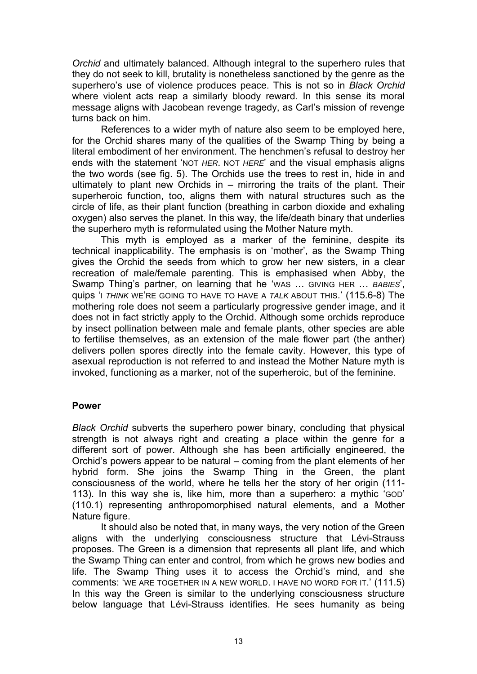*Orchid* and ultimately balanced. Although integral to the superhero rules that they do not seek to kill, brutality is nonetheless sanctioned by the genre as the superhero's use of violence produces peace. This is not so in *Black Orchid*  where violent acts reap a similarly bloody reward. In this sense its moral message aligns with Jacobean revenge tragedy, as Carl's mission of revenge turns back on him.

References to a wider myth of nature also seem to be employed here, for the Orchid shares many of the qualities of the Swamp Thing by being a literal embodiment of her environment. The henchmen's refusal to destroy her ends with the statement 'NOT *HER*. NOT *HERE*' and the visual emphasis aligns the two words (see fig. 5). The Orchids use the trees to rest in, hide in and ultimately to plant new Orchids in – mirroring the traits of the plant. Their superheroic function, too, aligns them with natural structures such as the circle of life, as their plant function (breathing in carbon dioxide and exhaling oxygen) also serves the planet. In this way, the life/death binary that underlies the superhero myth is reformulated using the Mother Nature myth.

This myth is employed as a marker of the feminine, despite its technical inapplicability. The emphasis is on 'mother', as the Swamp Thing gives the Orchid the seeds from which to grow her new sisters, in a clear recreation of male/female parenting. This is emphasised when Abby, the Swamp Thing's partner, on learning that he 'WAS … GIVING HER … *BABIES*', quips 'I *THINK* WE'RE GOING TO HAVE TO HAVE A *TALK* ABOUT THIS.' (115.6-8) The mothering role does not seem a particularly progressive gender image, and it does not in fact strictly apply to the Orchid. Although some orchids reproduce by insect pollination between male and female plants, other species are able to fertilise themselves, as an extension of the male flower part (the anther) delivers pollen spores directly into the female cavity. However, this type of asexual reproduction is not referred to and instead the Mother Nature myth is invoked, functioning as a marker, not of the superheroic, but of the feminine.

#### **Power**

*Black Orchid* subverts the superhero power binary, concluding that physical strength is not always right and creating a place within the genre for a different sort of power. Although she has been artificially engineered, the Orchid's powers appear to be natural – coming from the plant elements of her hybrid form. She joins the Swamp Thing in the Green, the plant consciousness of the world, where he tells her the story of her origin (111- 113). In this way she is, like him, more than a superhero: a mythic 'GOD' (110.1) representing anthropomorphised natural elements, and a Mother Nature figure.

It should also be noted that, in many ways, the very notion of the Green aligns with the underlying consciousness structure that Lévi-Strauss proposes. The Green is a dimension that represents all plant life, and which the Swamp Thing can enter and control, from which he grows new bodies and life. The Swamp Thing uses it to access the Orchid's mind, and she comments: 'WE ARE TOGETHER IN A NEW WORLD. I HAVE NO WORD FOR IT.' (111.5) In this way the Green is similar to the underlying consciousness structure below language that Lévi-Strauss identifies. He sees humanity as being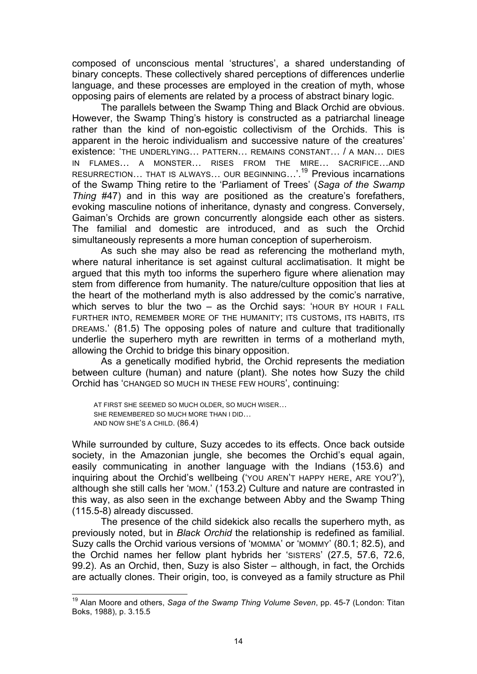composed of unconscious mental 'structures', a shared understanding of binary concepts. These collectively shared perceptions of differences underlie language, and these processes are employed in the creation of myth, whose opposing pairs of elements are related by a process of abstract binary logic.

The parallels between the Swamp Thing and Black Orchid are obvious. However, the Swamp Thing's history is constructed as a patriarchal lineage rather than the kind of non-egoistic collectivism of the Orchids. This is apparent in the heroic individualism and successive nature of the creatures' existence: 'THE UNDERLYING… PATTERN… REMAINS CONSTANT… / A MAN… DIES IN FLAMES… A MONSTER… RISES FROM THE MIRE… SACRIFICE…AND RESURRECTION… THAT IS ALWAYS… OUR BEGINNING…'.19 Previous incarnations of the Swamp Thing retire to the 'Parliament of Trees' (*Saga of the Swamp Thing* #47) and in this way are positioned as the creature's forefathers, evoking masculine notions of inheritance, dynasty and congress. Conversely, Gaiman's Orchids are grown concurrently alongside each other as sisters. The familial and domestic are introduced, and as such the Orchid simultaneously represents a more human conception of superheroism.

As such she may also be read as referencing the motherland myth, where natural inheritance is set against cultural acclimatisation. It might be argued that this myth too informs the superhero figure where alienation may stem from difference from humanity. The nature/culture opposition that lies at the heart of the motherland myth is also addressed by the comic's narrative, which serves to blur the two  $-$  as the Orchid says: 'HOUR BY HOUR I FALL FURTHER INTO, REMEMBER MORE OF THE HUMANITY; ITS CUSTOMS, ITS HABITS, ITS DREAMS.' (81.5) The opposing poles of nature and culture that traditionally underlie the superhero myth are rewritten in terms of a motherland myth, allowing the Orchid to bridge this binary opposition.

As a genetically modified hybrid, the Orchid represents the mediation between culture (human) and nature (plant). She notes how Suzy the child Orchid has 'CHANGED SO MUCH IN THESE FEW HOURS', continuing:

AT FIRST SHE SEEMED SO MUCH OLDER, SO MUCH WISER… SHE REMEMBERED SO MUCH MORE THAN I DID… AND NOW SHE'S A CHILD. (86.4)

While surrounded by culture, Suzy accedes to its effects. Once back outside society, in the Amazonian jungle, she becomes the Orchid's equal again, easily communicating in another language with the Indians (153.6) and inquiring about the Orchid's wellbeing ('YOU AREN'T HAPPY HERE, ARE YOU?'), although she still calls her 'MOM.' (153.2) Culture and nature are contrasted in this way, as also seen in the exchange between Abby and the Swamp Thing (115.5-8) already discussed.

The presence of the child sidekick also recalls the superhero myth, as previously noted, but in *Black Orchid* the relationship is redefined as familial. Suzy calls the Orchid various versions of 'MOMMA' or 'MOMMY' (80.1; 82.5), and the Orchid names her fellow plant hybrids her 'SISTERS' (27.5, 57.6, 72.6, 99.2). As an Orchid, then, Suzy is also Sister – although, in fact, the Orchids are actually clones. Their origin, too, is conveyed as a family structure as Phil

19 Alan Moore and others, *Saga of the Swamp Thing Volume Seven*, pp. 45-7 (London: Titan Boks, 1988), p. 3.15.5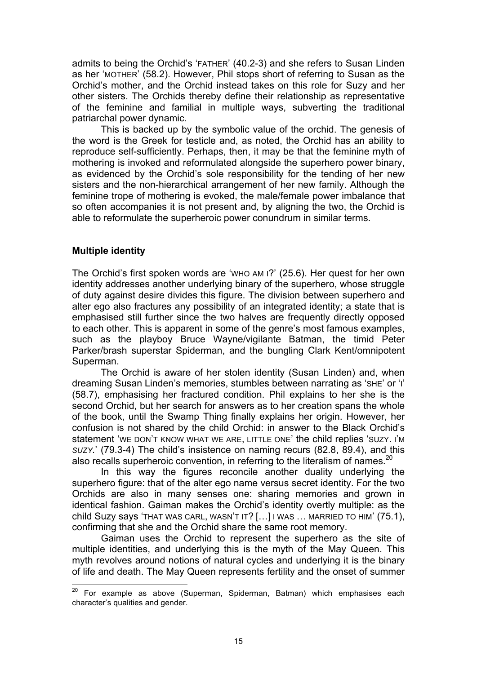admits to being the Orchid's 'FATHER' (40.2-3) and she refers to Susan Linden as her 'MOTHER' (58.2). However, Phil stops short of referring to Susan as the Orchid's mother, and the Orchid instead takes on this role for Suzy and her other sisters. The Orchids thereby define their relationship as representative of the feminine and familial in multiple ways, subverting the traditional patriarchal power dynamic.

This is backed up by the symbolic value of the orchid. The genesis of the word is the Greek for testicle and, as noted, the Orchid has an ability to reproduce self-sufficiently. Perhaps, then, it may be that the feminine myth of mothering is invoked and reformulated alongside the superhero power binary, as evidenced by the Orchid's sole responsibility for the tending of her new sisters and the non-hierarchical arrangement of her new family. Although the feminine trope of mothering is evoked, the male/female power imbalance that so often accompanies it is not present and, by aligning the two, the Orchid is able to reformulate the superheroic power conundrum in similar terms.

### **Multiple identity**

The Orchid's first spoken words are 'WHO AM I?' (25.6). Her quest for her own identity addresses another underlying binary of the superhero, whose struggle of duty against desire divides this figure. The division between superhero and alter ego also fractures any possibility of an integrated identity; a state that is emphasised still further since the two halves are frequently directly opposed to each other. This is apparent in some of the genre's most famous examples, such as the playboy Bruce Wayne/vigilante Batman, the timid Peter Parker/brash superstar Spiderman, and the bungling Clark Kent/omnipotent Superman.

The Orchid is aware of her stolen identity (Susan Linden) and, when dreaming Susan Linden's memories, stumbles between narrating as 'SHE' or 'I' (58.7), emphasising her fractured condition. Phil explains to her she is the second Orchid, but her search for answers as to her creation spans the whole of the book, until the Swamp Thing finally explains her origin. However, her confusion is not shared by the child Orchid: in answer to the Black Orchid's statement 'WE DON'T KNOW WHAT WE ARE, LITTLE ONE' the child replies 'SUZY. I'M *SUZY.*' (79.3-4) The child's insistence on naming recurs (82.8, 89.4), and this also recalls superheroic convention, in referring to the literalism of names.<sup>20</sup>

In this way the figures reconcile another duality underlying the superhero figure: that of the alter ego name versus secret identity. For the two Orchids are also in many senses one: sharing memories and grown in identical fashion. Gaiman makes the Orchid's identity overtly multiple: as the child Suzy says 'THAT WAS CARL, WASN'T IT? […] I WAS … MARRIED TO HIM' (75.1), confirming that she and the Orchid share the same root memory.

Gaiman uses the Orchid to represent the superhero as the site of multiple identities, and underlying this is the myth of the May Queen. This myth revolves around notions of natural cycles and underlying it is the binary of life and death. The May Queen represents fertility and the onset of summer

20 For example as above (Superman, Spiderman, Batman) which emphasises each character's qualities and gender.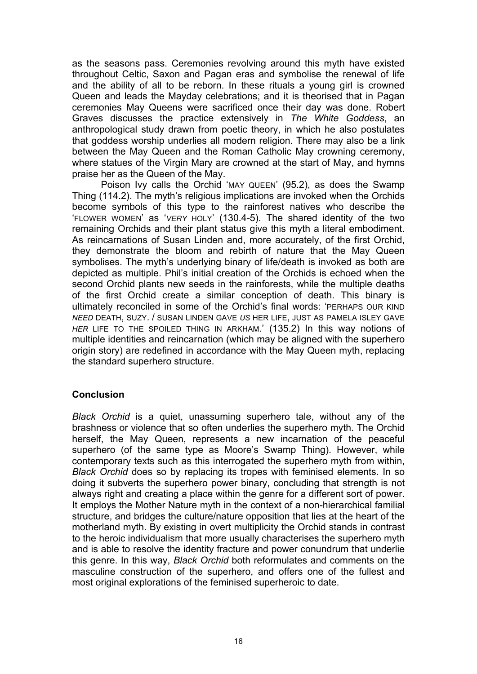as the seasons pass. Ceremonies revolving around this myth have existed throughout Celtic, Saxon and Pagan eras and symbolise the renewal of life and the ability of all to be reborn. In these rituals a young girl is crowned Queen and leads the Mayday celebrations; and it is theorised that in Pagan ceremonies May Queens were sacrificed once their day was done. Robert Graves discusses the practice extensively in *The White Goddess*, an anthropological study drawn from poetic theory, in which he also postulates that goddess worship underlies all modern religion. There may also be a link between the May Queen and the Roman Catholic May crowning ceremony, where statues of the Virgin Mary are crowned at the start of May, and hymns praise her as the Queen of the May.

Poison Ivy calls the Orchid 'MAY QUEEN' (95.2), as does the Swamp Thing (114.2). The myth's religious implications are invoked when the Orchids become symbols of this type to the rainforest natives who describe the 'FLOWER WOMEN' as '*VERY* HOLY' (130.4-5). The shared identity of the two remaining Orchids and their plant status give this myth a literal embodiment. As reincarnations of Susan Linden and, more accurately, of the first Orchid, they demonstrate the bloom and rebirth of nature that the May Queen symbolises. The myth's underlying binary of life/death is invoked as both are depicted as multiple. Phil's initial creation of the Orchids is echoed when the second Orchid plants new seeds in the rainforests, while the multiple deaths of the first Orchid create a similar conception of death. This binary is ultimately reconciled in some of the Orchid's final words: 'PERHAPS OUR KIND *NEED* DEATH, SUZY. / SUSAN LINDEN GAVE *US* HER LIFE, JUST AS PAMELA ISLEY GAVE *HER* LIFE TO THE SPOILED THING IN ARKHAM.' (135.2) In this way notions of multiple identities and reincarnation (which may be aligned with the superhero origin story) are redefined in accordance with the May Queen myth, replacing the standard superhero structure.

#### **Conclusion**

*Black Orchid* is a quiet, unassuming superhero tale, without any of the brashness or violence that so often underlies the superhero myth. The Orchid herself, the May Queen, represents a new incarnation of the peaceful superhero (of the same type as Moore's Swamp Thing). However, while contemporary texts such as this interrogated the superhero myth from within, *Black Orchid* does so by replacing its tropes with feminised elements. In so doing it subverts the superhero power binary, concluding that strength is not always right and creating a place within the genre for a different sort of power. It employs the Mother Nature myth in the context of a non-hierarchical familial structure, and bridges the culture/nature opposition that lies at the heart of the motherland myth. By existing in overt multiplicity the Orchid stands in contrast to the heroic individualism that more usually characterises the superhero myth and is able to resolve the identity fracture and power conundrum that underlie this genre. In this way, *Black Orchid* both reformulates and comments on the masculine construction of the superhero, and offers one of the fullest and most original explorations of the feminised superheroic to date.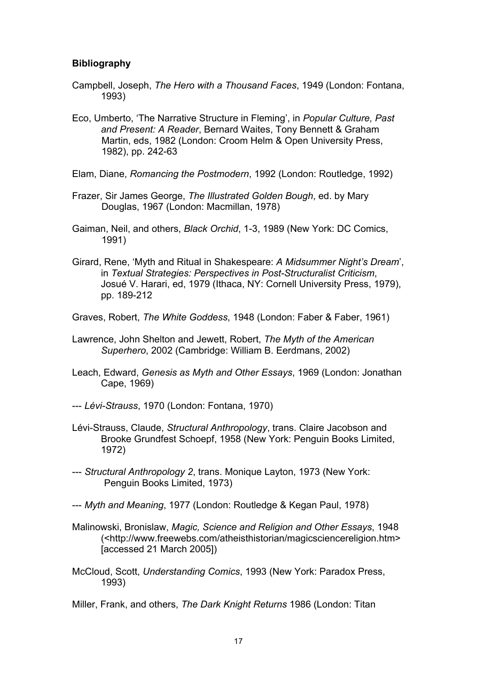### **Bibliography**

- Campbell, Joseph, *The Hero with a Thousand Faces*, 1949 (London: Fontana, 1993)
- Eco, Umberto, 'The Narrative Structure in Fleming', in *Popular Culture, Past and Present: A Reader*, Bernard Waites, Tony Bennett & Graham Martin, eds, 1982 (London: Croom Helm & Open University Press, 1982), pp. 242-63
- Elam, Diane, *Romancing the Postmodern*, 1992 (London: Routledge, 1992)
- Frazer, Sir James George, *The Illustrated Golden Bough*, ed. by Mary Douglas, 1967 (London: Macmillan, 1978)
- Gaiman, Neil, and others, *Black Orchid*, 1-3, 1989 (New York: DC Comics, 1991)
- Girard, Rene, 'Myth and Ritual in Shakespeare: *A Midsummer Night's Dream*', in *Textual Strategies: Perspectives in Post-Structuralist Criticism*, Josué V. Harari, ed, 1979 (Ithaca, NY: Cornell University Press, 1979), pp. 189-212
- Graves, Robert, *The White Goddess*, 1948 (London: Faber & Faber, 1961)
- Lawrence, John Shelton and Jewett, Robert, *The Myth of the American Superhero*, 2002 (Cambridge: William B. Eerdmans, 2002)
- Leach, Edward, *Genesis as Myth and Other Essays*, 1969 (London: Jonathan Cape, 1969)
- --- *Lévi-Strauss*, 1970 (London: Fontana, 1970)
- Lévi-Strauss, Claude, *Structural Anthropology*, trans. Claire Jacobson and Brooke Grundfest Schoepf, 1958 (New York: Penguin Books Limited, 1972)
- --- *Structural Anthropology 2*, trans. Monique Layton, 1973 (New York: Penguin Books Limited, 1973)
- --- *Myth and Meaning*, 1977 (London: Routledge & Kegan Paul, 1978)
- Malinowski, Bronislaw, *Magic, Science and Religion and Other Essays*, 1948 (<http://www.freewebs.com/atheisthistorian/magicsciencereligion.htm> [accessed 21 March 2005])
- McCloud, Scott, *Understanding Comics*, 1993 (New York: Paradox Press, 1993)
- Miller, Frank, and others, *The Dark Knight Returns* 1986 (London: Titan